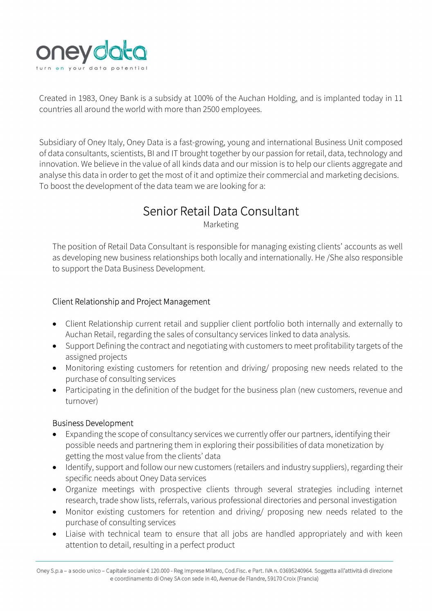

Created in 1983, Oney Bank is a subsidy at 100% of the Auchan Holding, and is implanted today in 11 countries all around the world with more than 2500 employees.

Subsidiary of Oney Italy, Oney Data is a fast-growing, young and international Business Unit composed of data consultants, scientists, BI and IT brought together by our passion for retail, data, technology and innovation. We believe in the value of all kinds data and our mission is to help our clients aggregate and analyse this data in order to get the most of it and optimize their commercial and marketing decisions. To boost the development of the data team we are looking for a:

# Senior Retail Data Consultant

Marketing

The position of Retail Data Consultant is responsible for managing existing clients' accounts as well as developing new business relationships both locally and internationally. He /She also responsible to support the Data Business Development.

## Client Relationship and Project Management

- Client Relationship current retail and supplier client portfolio both internally and externally to Auchan Retail, regarding the sales of consultancy services linked to data analysis.
- Support Defining the contract and negotiating with customers to meet profitability targets of the assigned projects
- Monitoring existing customers for retention and driving/ proposing new needs related to the purchase of consulting services
- Participating in the definition of the budget for the business plan (new customers, revenue and turnover)

## Business Development

- Expanding the scope of consultancy services we currently offer our partners, identifying their possible needs and partnering them in exploring their possibilities of data monetization by getting the most value from the clients' data
- Identify, support and follow our new customers (retailers and industry suppliers), regarding their specific needs about Oney Data services
- Organize meetings with prospective clients through several strategies including internet research, trade show lists, referrals, various professional directories and personal investigation
- Monitor existing customers for retention and driving/ proposing new needs related to the purchase of consulting services
- Liaise with technical team to ensure that all jobs are handled appropriately and with keen attention to detail, resulting in a perfect product